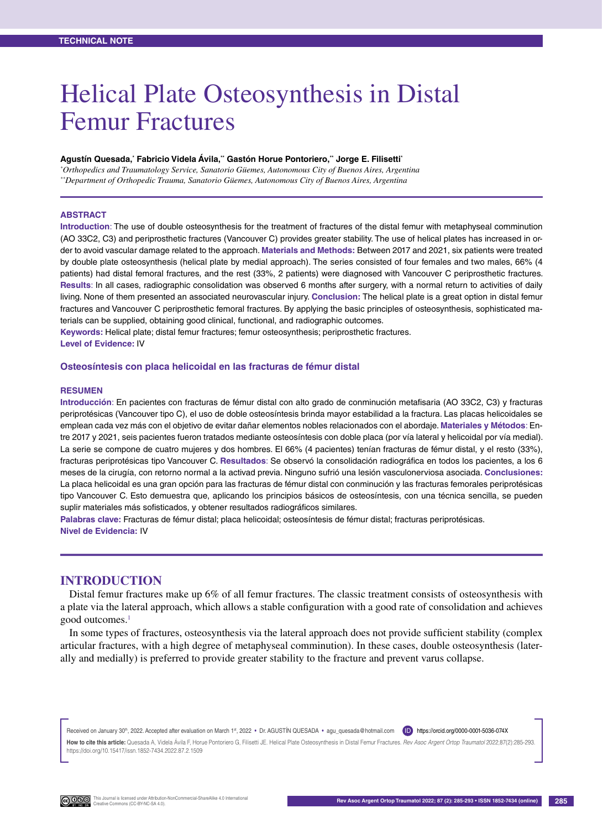# Helical Plate Osteosynthesis in Distal Femur Fractures

#### Agustín Quesada,<sup>∗</sup> Fabricio Videla Avila,<sup>∾</sup> Gastón Horue Pontoriero,¨ Jorge E. Filisetti<sup>∗</sup>

*\* Orthopedics and Traumatology Service, Sanatorio Güemes, Autonomous City of Buenos Aires, Argentina \*\*Department of Orthopedic Trauma, Sanatorio Güemes, Autonomous City of Buenos Aires, Argentina*

#### **Abstract**

**Introduction**: The use of double osteosynthesis for the treatment of fractures of the distal femur with metaphyseal comminution (AO 33C2, C3) and periprosthetic fractures (Vancouver C) provides greater stability. The use of helical plates has increased in order to avoid vascular damage related to the approach. **Materials and Methods:** Between 2017 and 2021, six patients were treated by double plate osteosynthesis (helical plate by medial approach). The series consisted of four females and two males, 66% (4 patients) had distal femoral fractures, and the rest (33%, 2 patients) were diagnosed with Vancouver C periprosthetic fractures. **Results**: In all cases, radiographic consolidation was observed 6 months after surgery, with a normal return to activities of daily living. None of them presented an associated neurovascular injury. **Conclusion:** The helical plate is a great option in distal femur fractures and Vancouver C periprosthetic femoral fractures. By applying the basic principles of osteosynthesis, sophisticated materials can be supplied, obtaining good clinical, functional, and radiographic outcomes.

**Keywords:** Helical plate; distal femur fractures; femur osteosynthesis; periprosthetic fractures. **Level of Evidence:** IV

#### **Osteosíntesis con placa helicoidal en las fracturas de fémur distal**

#### **Resumen**

**Introducción**: En pacientes con fracturas de fémur distal con alto grado de conminución metafisaria (AO 33C2, C3) y fracturas periprotésicas (Vancouver tipo C), el uso de doble osteosíntesis brinda mayor estabilidad a la fractura. Las placas helicoidales se emplean cada vez más con el objetivo de evitar dañar elementos nobles relacionados con el abordaje. **Materiales y Métodos**: Entre 2017 y 2021, seis pacientes fueron tratados mediante osteosíntesis con doble placa (por vía lateral y helicoidal por vía medial). La serie se compone de cuatro mujeres y dos hombres. El 66% (4 pacientes) tenían fracturas de fémur distal, y el resto (33%), fracturas periprotésicas tipo Vancouver C. **Resultados**: Se observó la consolidación radiográfica en todos los pacientes, a los 6 meses de la cirugía, con retorno normal a la activad previa. Ninguno sufrió una lesión vasculonerviosa asociada. **Conclusiones:** La placa helicoidal es una gran opción para las fracturas de fémur distal con conminución y las fracturas femorales periprotésicas tipo Vancouver C. Esto demuestra que, aplicando los principios básicos de osteosíntesis, con una técnica sencilla, se pueden suplir materiales más sofisticados, y obtener resultados radiográficos similares.

**Palabras clave:** Fracturas de fémur distal; placa helicoidal; osteosíntesis de fémur distal; fracturas periprotésicas. **Nivel de Evidencia:** IV

## **INTRODUCTION**

Distal femur fractures make up 6% of all femur fractures. The classic treatment consists of osteosynthesis with a plate via the lateral approach, which allows a stable configuration with a good rate of consolidation and achieves good outcomes.<sup>1</sup>

In some types of fractures, osteosynthesis via the lateral approach does not provide sufficient stability (complex articular fractures, with a high degree of metaphyseal comminution). In these cases, double osteosynthesis (laterally and medially) is preferred to provide greater stability to the fracture and prevent varus collapse.

Received on January 30<sup>th</sup>, 2022. Accepted after evaluation on March 1st, 2022 · Dr. AGUSTIN QUESADA · agu\_quesada@hotmail.com (D) https://orcid.org/0000-0001-5036-074X **How to cite this article:** Quesada A, Videla Ávila F, Horue Pontoriero G, Filisetti JE. Helical Plate Osteosynthesis in Distal Femur Fractures. *Rev Asoc Argent Ortop Traumatol* 2022;87(2):285-293. https://doi.org/10.15417/issn.1852-7434.2022.87.2.1509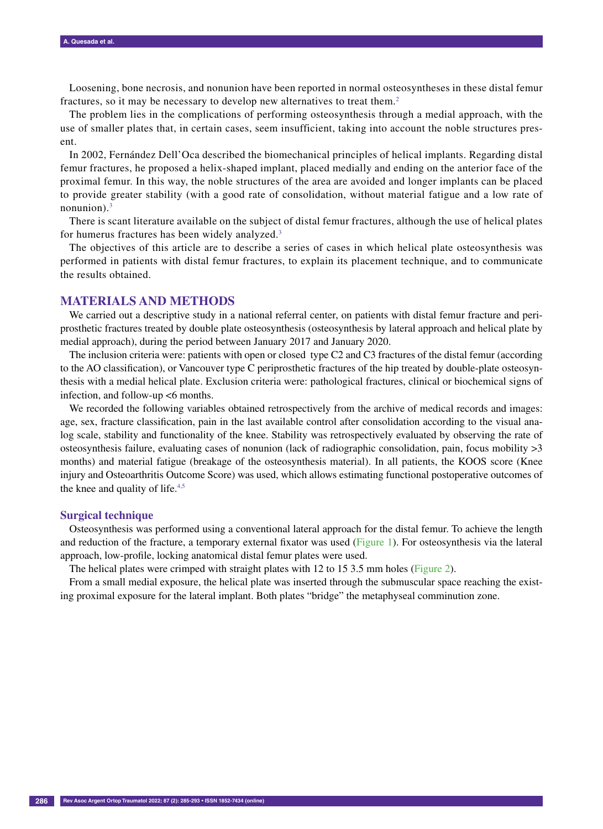Loosening, bone necrosis, and nonunion have been reported in normal osteosyntheses in these distal femur fractures, so it may be necessary to develop new alternatives to treat them.<sup>2</sup>

The problem lies in the complications of performing osteosynthesis through a medial approach, with the use of smaller plates that, in certain cases, seem insufficient, taking into account the noble structures present.

In 2002, Fernández Dell'Oca described the biomechanical principles of helical implants. Regarding distal femur fractures, he proposed a helix-shaped implant, placed medially and ending on the anterior face of the proximal femur. In this way, the noble structures of the area are avoided and longer implants can be placed to provide greater stability (with a good rate of consolidation, without material fatigue and a low rate of nonunion). $3$ 

There is scant literature available on the subject of distal femur fractures, although the use of helical plates for humerus fractures has been widely analyzed.3

The objectives of this article are to describe a series of cases in which helical plate osteosynthesis was performed in patients with distal femur fractures, to explain its placement technique, and to communicate the results obtained.

## **MATERIALS AND METHODS**

We carried out a descriptive study in a national referral center, on patients with distal femur fracture and periprosthetic fractures treated by double plate osteosynthesis (osteosynthesis by lateral approach and helical plate by medial approach), during the period between January 2017 and January 2020.

The inclusion criteria were: patients with open or closed type C2 and C3 fractures of the distal femur (according to the AO classification), or Vancouver type C periprosthetic fractures of the hip treated by double-plate osteosynthesis with a medial helical plate. Exclusion criteria were: pathological fractures, clinical or biochemical signs of infection, and follow-up <6 months.

We recorded the following variables obtained retrospectively from the archive of medical records and images: age, sex, fracture classification, pain in the last available control after consolidation according to the visual analog scale, stability and functionality of the knee. Stability was retrospectively evaluated by observing the rate of osteosynthesis failure, evaluating cases of nonunion (lack of radiographic consolidation, pain, focus mobility >3 months) and material fatigue (breakage of the osteosynthesis material). In all patients, the KOOS score (Knee injury and Osteoarthritis Outcome Score) was used, which allows estimating functional postoperative outcomes of the knee and quality of life.4,5

#### **Surgical technique**

Osteosynthesis was performed using a conventional lateral approach for the distal femur. To achieve the length and reduction of the fracture, a temporary external fixator was used (Figure 1). For osteosynthesis via the lateral approach, low-profile, locking anatomical distal femur plates were used.

The helical plates were crimped with straight plates with 12 to 15 3.5 mm holes (Figure 2).

From a small medial exposure, the helical plate was inserted through the submuscular space reaching the existing proximal exposure for the lateral implant. Both plates "bridge" the metaphyseal comminution zone.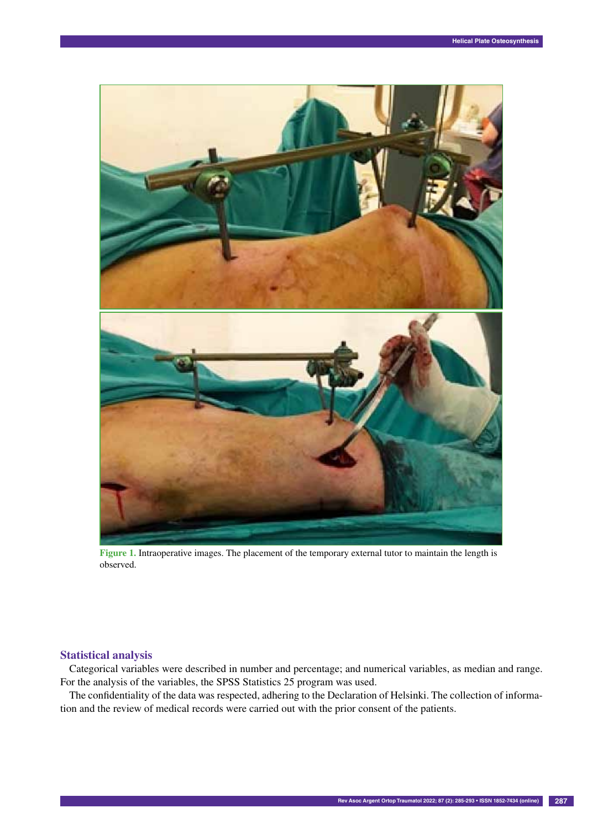

**Figure 1.** Intraoperative images. The placement of the temporary external tutor to maintain the length is observed.

### **Statistical analysis**

Categorical variables were described in number and percentage; and numerical variables, as median and range. For the analysis of the variables, the SPSS Statistics 25 program was used.

The confidentiality of the data was respected, adhering to the Declaration of Helsinki. The collection of information and the review of medical records were carried out with the prior consent of the patients.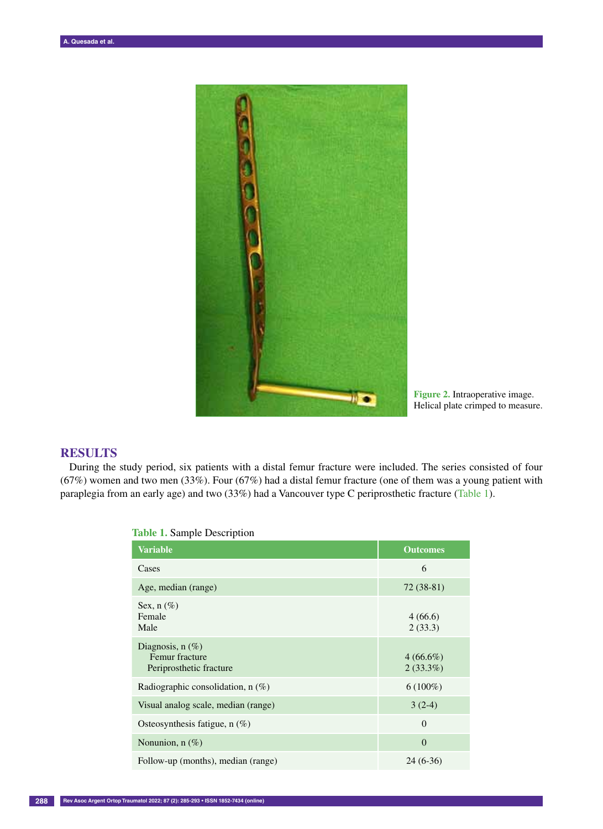

**Figure 2.** Intraoperative image. Helical plate crimped to measure.

# **RESULTS**

During the study period, six patients with a distal femur fracture were included. The series consisted of four (67%) women and two men (33%). Four (67%) had a distal femur fracture (one of them was a young patient with paraplegia from an early age) and two (33%) had a Vancouver type C periprosthetic fracture (Table 1).

| <b>Variable</b>                                                 | <b>Outcomes</b>            |
|-----------------------------------------------------------------|----------------------------|
| Cases                                                           | 6                          |
| Age, median (range)                                             | $72(38-81)$                |
| Sex, $n$ (%)<br>Female<br>Male                                  | 4(66.6)<br>2(33.3)         |
| Diagnosis, $n$ (%)<br>Femur fracture<br>Periprosthetic fracture | $4(66.6\%)$<br>$2(33.3\%)$ |
| Radiographic consolidation, $n$ (%)                             | $6(100\%)$                 |
| Visual analog scale, median (range)                             | $3(2-4)$                   |
| Osteosynthesis fatigue, $n$ (%)                                 | $\overline{0}$             |
| Nonunion, n (%)                                                 | $\theta$                   |
| Follow-up (months), median (range)                              | $24(6-36)$                 |

**Table 1.** Sample Description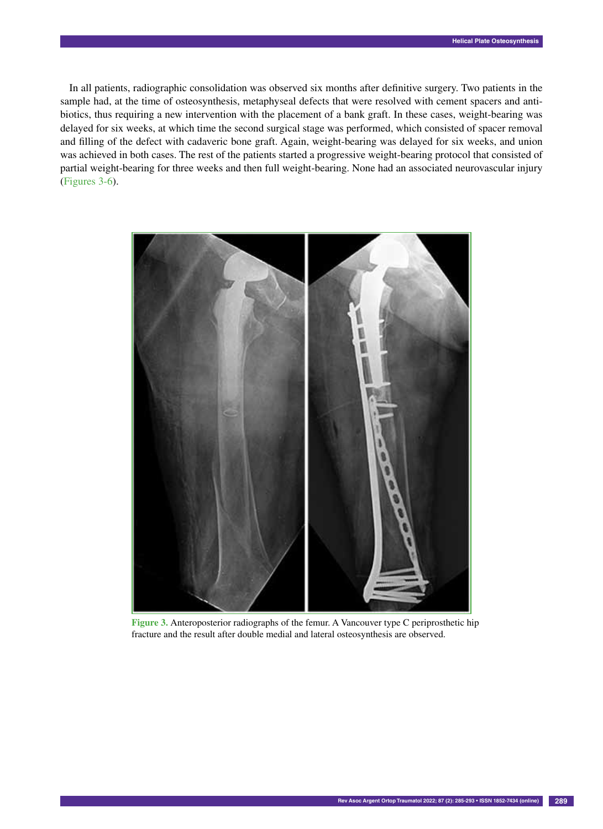In all patients, radiographic consolidation was observed six months after definitive surgery. Two patients in the sample had, at the time of osteosynthesis, metaphyseal defects that were resolved with cement spacers and antibiotics, thus requiring a new intervention with the placement of a bank graft. In these cases, weight-bearing was delayed for six weeks, at which time the second surgical stage was performed, which consisted of spacer removal and filling of the defect with cadaveric bone graft. Again, weight-bearing was delayed for six weeks, and union was achieved in both cases. The rest of the patients started a progressive weight-bearing protocol that consisted of partial weight-bearing for three weeks and then full weight-bearing. None had an associated neurovascular injury (Figures 3-6).



**Figure 3.** Anteroposterior radiographs of the femur. A Vancouver type C periprosthetic hip fracture and the result after double medial and lateral osteosynthesis are observed.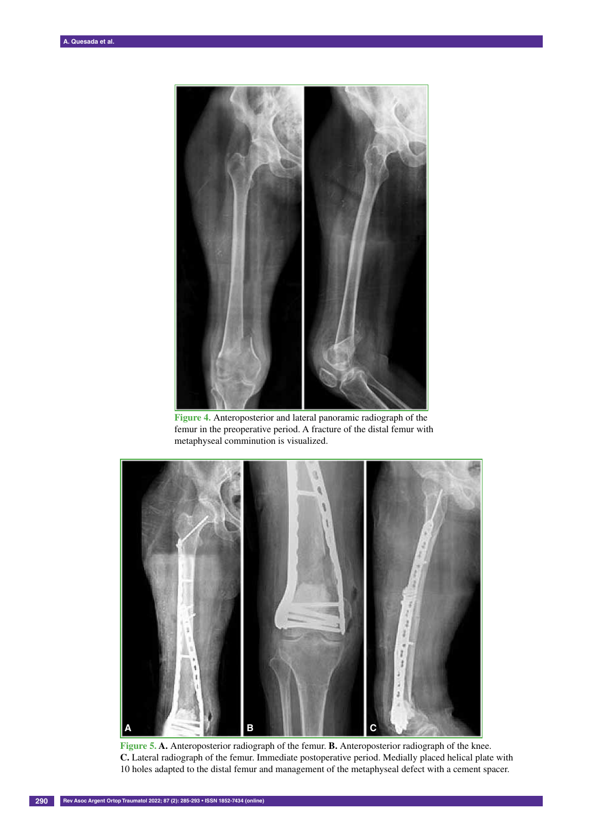

**Figure 4.** Anteroposterior and lateral panoramic radiograph of the femur in the preoperative period. A fracture of the distal femur with metaphyseal comminution is visualized.



**Figure 5. A.** Anteroposterior radiograph of the femur. **B.** Anteroposterior radiograph of the knee. **C.** Lateral radiograph of the femur. Immediate postoperative period. Medially placed helical plate with 10 holes adapted to the distal femur and management of the metaphyseal defect with a cement spacer.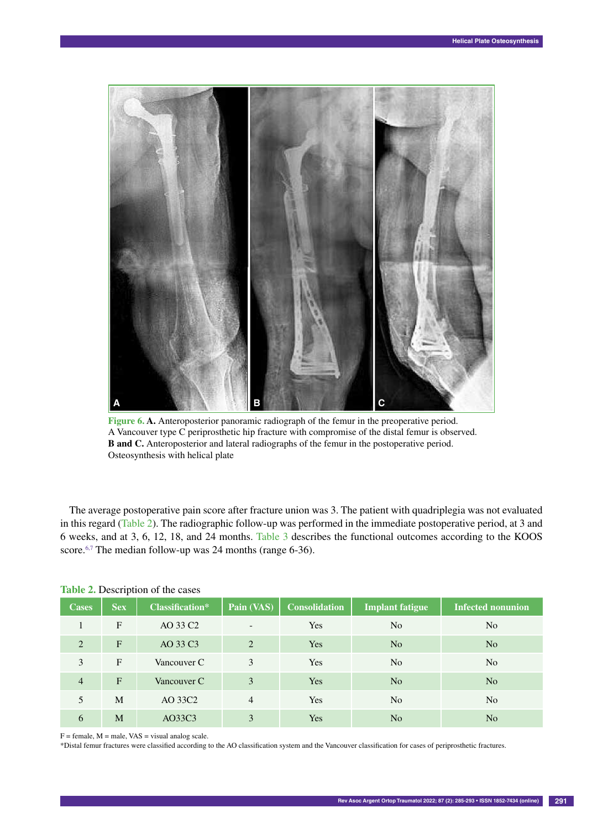

**Figure 6. A.** Anteroposterior panoramic radiograph of the femur in the preoperative period. A Vancouver type C periprosthetic hip fracture with compromise of the distal femur is observed. **B and C.** Anteroposterior and lateral radiographs of the femur in the postoperative period. Osteosynthesis with helical plate

The average postoperative pain score after fracture union was 3. The patient with quadriplegia was not evaluated in this regard (Table 2). The radiographic follow-up was performed in the immediate postoperative period, at 3 and 6 weeks, and at 3, 6, 12, 18, and 24 months. Table 3 describes the functional outcomes according to the KOOS score.<sup>6,7</sup> The median follow-up was 24 months (range 6-36).

| <b>Cases</b>   | <b>Sex</b> | <b>Classification*</b> | Pain (VAS)     | <b>Consolidation</b> | <b>Implant fatigue</b> | <b>Infected nonunion</b> |
|----------------|------------|------------------------|----------------|----------------------|------------------------|--------------------------|
| 1              | F          | AO 33 C <sub>2</sub>   |                | <b>Yes</b>           | N <sub>o</sub>         | N <sub>o</sub>           |
| 2              | F          | AO 33 C3               | $\overline{c}$ | Yes                  | N <sub>0</sub>         | N <sub>o</sub>           |
| 3              | F          | Vancouver C            | 3              | <b>Yes</b>           | N <sub>0</sub>         | N <sub>o</sub>           |
| $\overline{4}$ | F          | Vancouver C            | 3              | Yes                  | N <sub>0</sub>         | N <sub>o</sub>           |
| 5              | M          | AO 33C2                | $\overline{4}$ | <b>Yes</b>           | N <sub>0</sub>         | N <sub>o</sub>           |
| 6              | M          | AO33C3                 | 3              | Yes                  | N <sub>0</sub>         | N <sub>o</sub>           |

## **Table 2.** Description of the cases

 $F =$  female,  $M =$  male,  $VAS =$  visual analog scale.

\*Distal femur fractures were classified according to the AO classification system and the Vancouver classification for cases of periprosthetic fractures.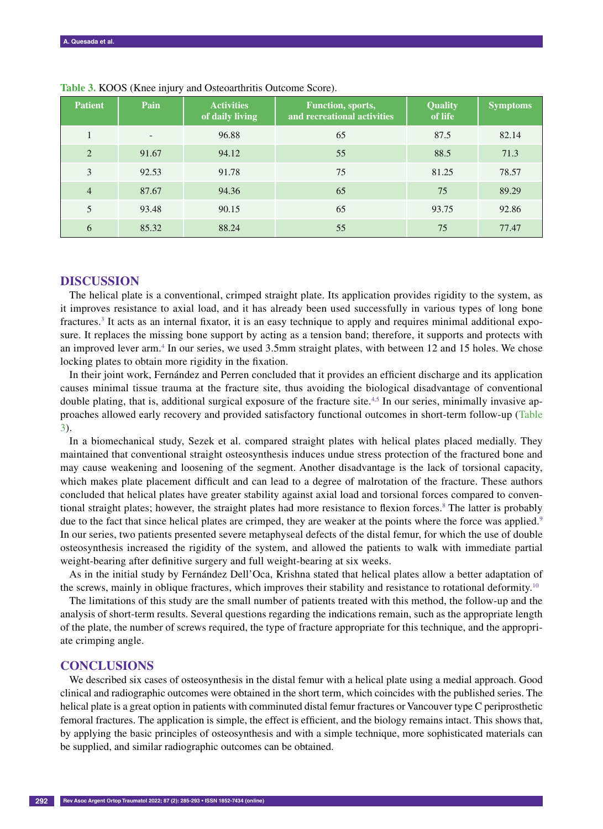| <b>Patient</b> | Pain                     | <b>Activities</b><br>of daily living | <b>Function</b> , sports,<br>and recreational activities | <b>Quality</b><br>of life | <b>Symptoms</b> |
|----------------|--------------------------|--------------------------------------|----------------------------------------------------------|---------------------------|-----------------|
|                | $\overline{\phantom{0}}$ | 96.88                                | 65                                                       | 87.5                      | 82.14           |
| 2              | 91.67                    | 94.12                                | 55                                                       | 88.5                      | 71.3            |
| 3              | 92.53                    | 91.78                                | 75                                                       | 81.25                     | 78.57           |
| $\overline{4}$ | 87.67                    | 94.36                                | 65                                                       | 75                        | 89.29           |
| 5              | 93.48                    | 90.15                                | 65                                                       | 93.75                     | 92.86           |
| 6              | 85.32                    | 88.24                                | 55                                                       | 75                        | 77.47           |

**Table 3.** KOOS (Knee injury and Osteoarthritis Outcome Score).

## **DISCUSSION**

The helical plate is a conventional, crimped straight plate. Its application provides rigidity to the system, as it improves resistance to axial load, and it has already been used successfully in various types of long bone fractures.3 It acts as an internal fixator, it is an easy technique to apply and requires minimal additional exposure. It replaces the missing bone support by acting as a tension band; therefore, it supports and protects with an improved lever arm.<sup>4</sup> In our series, we used 3.5mm straight plates, with between 12 and 15 holes. We chose locking plates to obtain more rigidity in the fixation.

In their joint work, Fernández and Perren concluded that it provides an efficient discharge and its application causes minimal tissue trauma at the fracture site, thus avoiding the biological disadvantage of conventional double plating, that is, additional surgical exposure of the fracture site.<sup>4,5</sup> In our series, minimally invasive approaches allowed early recovery and provided satisfactory functional outcomes in short-term follow-up (Table 3).

In a biomechanical study, Sezek et al. compared straight plates with helical plates placed medially. They maintained that conventional straight osteosynthesis induces undue stress protection of the fractured bone and may cause weakening and loosening of the segment. Another disadvantage is the lack of torsional capacity, which makes plate placement difficult and can lead to a degree of malrotation of the fracture. These authors concluded that helical plates have greater stability against axial load and torsional forces compared to conventional straight plates; however, the straight plates had more resistance to flexion forces.<sup>8</sup> The latter is probably due to the fact that since helical plates are crimped, they are weaker at the points where the force was applied.<sup>9</sup> In our series, two patients presented severe metaphyseal defects of the distal femur, for which the use of double osteosynthesis increased the rigidity of the system, and allowed the patients to walk with immediate partial weight-bearing after definitive surgery and full weight-bearing at six weeks.

As in the initial study by Fernández Dell'Oca, Krishna stated that helical plates allow a better adaptation of the screws, mainly in oblique fractures, which improves their stability and resistance to rotational deformity.<sup>10</sup>

The limitations of this study are the small number of patients treated with this method, the follow-up and the analysis of short-term results. Several questions regarding the indications remain, such as the appropriate length of the plate, the number of screws required, the type of fracture appropriate for this technique, and the appropriate crimping angle.

## **CONCLUSIONS**

We described six cases of osteosynthesis in the distal femur with a helical plate using a medial approach. Good clinical and radiographic outcomes were obtained in the short term, which coincides with the published series. The helical plate is a great option in patients with comminuted distal femur fractures or Vancouver type C periprosthetic femoral fractures. The application is simple, the effect is efficient, and the biology remains intact. This shows that, by applying the basic principles of osteosynthesis and with a simple technique, more sophisticated materials can be supplied, and similar radiographic outcomes can be obtained.